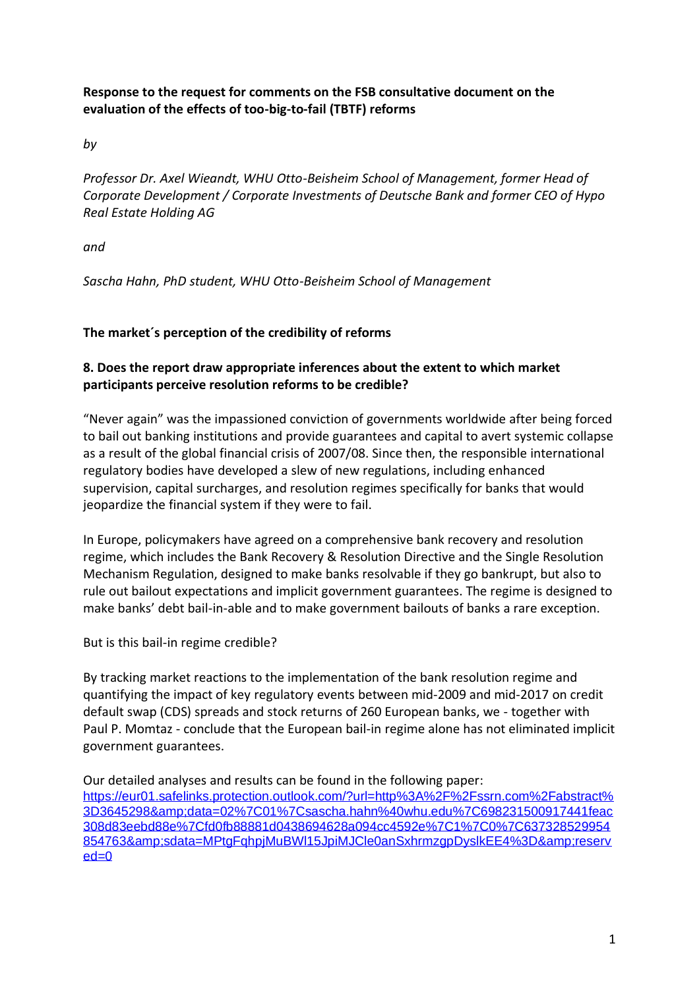## **Response to the request for comments on the FSB consultative document on the evaluation of the effects of too-big-to-fail (TBTF) reforms**

*by* 

*Professor Dr. Axel Wieandt, WHU Otto-Beisheim School of Management, former Head of Corporate Development / Corporate Investments of Deutsche Bank and former CEO of Hypo Real Estate Holding AG*

*and*

*Sascha Hahn, PhD student, WHU Otto-Beisheim School of Management*

## **The market´s perception of the credibility of reforms**

## **8. Does the report draw appropriate inferences about the extent to which market participants perceive resolution reforms to be credible?**

"Never again" was the impassioned conviction of governments worldwide after being forced to bail out banking institutions and provide guarantees and capital to avert systemic collapse as a result of the global financial crisis of 2007/08. Since then, the responsible international regulatory bodies have developed a slew of new regulations, including enhanced supervision, capital surcharges, and resolution regimes specifically for banks that would jeopardize the financial system if they were to fail.

In Europe, policymakers have agreed on a comprehensive bank recovery and resolution regime, which includes the Bank Recovery & Resolution Directive and the Single Resolution Mechanism Regulation, designed to make banks resolvable if they go bankrupt, but also to rule out bailout expectations and implicit government guarantees. The regime is designed to make banks' debt bail-in-able and to make government bailouts of banks a rare exception.

But is this bail-in regime credible?

By tracking market reactions to the implementation of the bank resolution regime and quantifying the impact of key regulatory events between mid-2009 and mid-2017 on credit default swap (CDS) spreads and stock returns of 260 European banks, we - together with Paul P. Momtaz - conclude that the European bail-in regime alone has not eliminated implicit government guarantees.

Our detailed analyses and results can be found in the following paper:

[https://eur01.safelinks.protection.outlook.com/?url=http%3A%2F%2Fssrn.com%2Fabstract%](https://eur01.safelinks.protection.outlook.com/?url=http%3A%2F%2Fssrn.com%2Fabstract%3D3645298&data=02%7C01%7Csascha.hahn%40whu.edu%7C698231500917441feac308d83eebd88e%7Cfd0fb88881d0438694628a094cc4592e%7C1%7C0%7C637328529954854763&sdata=MPtgFqhpjMuBWl15JpiMJCle0anSxhrmzgpDyslkEE4%3D&reserved=0) [3D3645298&data=02%7C01%7Csascha.hahn%40whu.edu%7C698231500917441feac](https://eur01.safelinks.protection.outlook.com/?url=http%3A%2F%2Fssrn.com%2Fabstract%3D3645298&data=02%7C01%7Csascha.hahn%40whu.edu%7C698231500917441feac308d83eebd88e%7Cfd0fb88881d0438694628a094cc4592e%7C1%7C0%7C637328529954854763&sdata=MPtgFqhpjMuBWl15JpiMJCle0anSxhrmzgpDyslkEE4%3D&reserved=0) [308d83eebd88e%7Cfd0fb88881d0438694628a094cc4592e%7C1%7C0%7C637328529954](https://eur01.safelinks.protection.outlook.com/?url=http%3A%2F%2Fssrn.com%2Fabstract%3D3645298&data=02%7C01%7Csascha.hahn%40whu.edu%7C698231500917441feac308d83eebd88e%7Cfd0fb88881d0438694628a094cc4592e%7C1%7C0%7C637328529954854763&sdata=MPtgFqhpjMuBWl15JpiMJCle0anSxhrmzgpDyslkEE4%3D&reserved=0) [854763&sdata=MPtgFqhpjMuBWl15JpiMJCle0anSxhrmzgpDyslkEE4%3D&reserv](https://eur01.safelinks.protection.outlook.com/?url=http%3A%2F%2Fssrn.com%2Fabstract%3D3645298&data=02%7C01%7Csascha.hahn%40whu.edu%7C698231500917441feac308d83eebd88e%7Cfd0fb88881d0438694628a094cc4592e%7C1%7C0%7C637328529954854763&sdata=MPtgFqhpjMuBWl15JpiMJCle0anSxhrmzgpDyslkEE4%3D&reserved=0)  $ed=0$